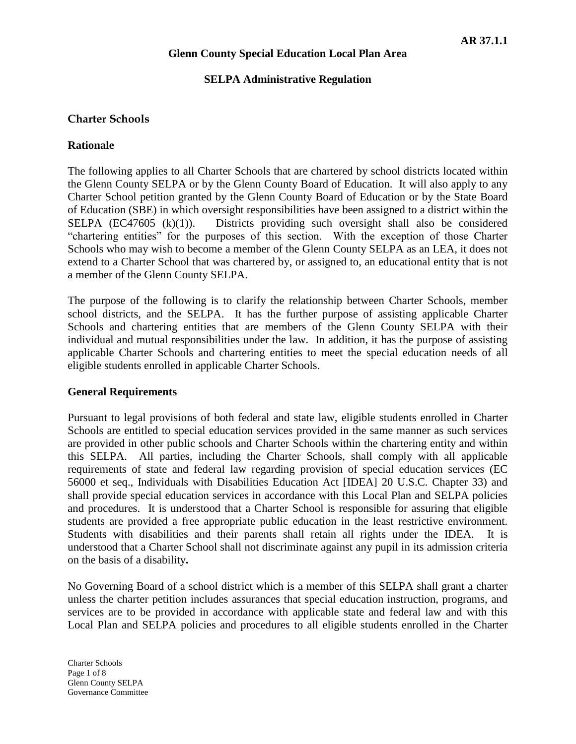### **SELPA Administrative Regulation**

## **Charter Schools**

## **Rationale**

The following applies to all Charter Schools that are chartered by school districts located within the Glenn County SELPA or by the Glenn County Board of Education. It will also apply to any Charter School petition granted by the Glenn County Board of Education or by the State Board of Education (SBE) in which oversight responsibilities have been assigned to a district within the SELPA  $(EC47605 \ (k)(1))$ . Districts providing such oversight shall also be considered "chartering entities" for the purposes of this section. With the exception of those Charter Schools who may wish to become a member of the Glenn County SELPA as an LEA, it does not extend to a Charter School that was chartered by, or assigned to, an educational entity that is not a member of the Glenn County SELPA.

The purpose of the following is to clarify the relationship between Charter Schools, member school districts, and the SELPA. It has the further purpose of assisting applicable Charter Schools and chartering entities that are members of the Glenn County SELPA with their individual and mutual responsibilities under the law. In addition, it has the purpose of assisting applicable Charter Schools and chartering entities to meet the special education needs of all eligible students enrolled in applicable Charter Schools.

#### **General Requirements**

Pursuant to legal provisions of both federal and state law, eligible students enrolled in Charter Schools are entitled to special education services provided in the same manner as such services are provided in other public schools and Charter Schools within the chartering entity and within this SELPA. All parties, including the Charter Schools, shall comply with all applicable requirements of state and federal law regarding provision of special education services (EC 56000 et seq., Individuals with Disabilities Education Act [IDEA] 20 U.S.C. Chapter 33) and shall provide special education services in accordance with this Local Plan and SELPA policies and procedures. It is understood that a Charter School is responsible for assuring that eligible students are provided a free appropriate public education in the least restrictive environment. Students with disabilities and their parents shall retain all rights under the IDEA. It is understood that a Charter School shall not discriminate against any pupil in its admission criteria on the basis of a disability**.**

No Governing Board of a school district which is a member of this SELPA shall grant a charter unless the charter petition includes assurances that special education instruction, programs, and services are to be provided in accordance with applicable state and federal law and with this Local Plan and SELPA policies and procedures to all eligible students enrolled in the Charter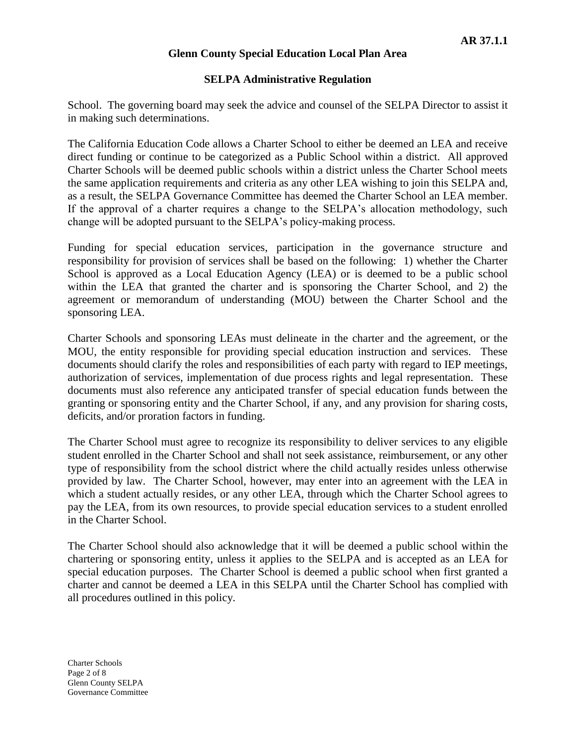#### **SELPA Administrative Regulation**

School. The governing board may seek the advice and counsel of the SELPA Director to assist it in making such determinations.

The California Education Code allows a Charter School to either be deemed an LEA and receive direct funding or continue to be categorized as a Public School within a district. All approved Charter Schools will be deemed public schools within a district unless the Charter School meets the same application requirements and criteria as any other LEA wishing to join this SELPA and, as a result, the SELPA Governance Committee has deemed the Charter School an LEA member. If the approval of a charter requires a change to the SELPA's allocation methodology, such change will be adopted pursuant to the SELPA's policy-making process.

Funding for special education services, participation in the governance structure and responsibility for provision of services shall be based on the following: 1) whether the Charter School is approved as a Local Education Agency (LEA) or is deemed to be a public school within the LEA that granted the charter and is sponsoring the Charter School, and 2) the agreement or memorandum of understanding (MOU) between the Charter School and the sponsoring LEA.

Charter Schools and sponsoring LEAs must delineate in the charter and the agreement, or the MOU, the entity responsible for providing special education instruction and services. These documents should clarify the roles and responsibilities of each party with regard to IEP meetings, authorization of services, implementation of due process rights and legal representation. These documents must also reference any anticipated transfer of special education funds between the granting or sponsoring entity and the Charter School, if any, and any provision for sharing costs, deficits, and/or proration factors in funding.

The Charter School must agree to recognize its responsibility to deliver services to any eligible student enrolled in the Charter School and shall not seek assistance, reimbursement, or any other type of responsibility from the school district where the child actually resides unless otherwise provided by law. The Charter School, however, may enter into an agreement with the LEA in which a student actually resides, or any other LEA, through which the Charter School agrees to pay the LEA, from its own resources, to provide special education services to a student enrolled in the Charter School.

The Charter School should also acknowledge that it will be deemed a public school within the chartering or sponsoring entity, unless it applies to the SELPA and is accepted as an LEA for special education purposes. The Charter School is deemed a public school when first granted a charter and cannot be deemed a LEA in this SELPA until the Charter School has complied with all procedures outlined in this policy.

Charter Schools Page 2 of 8 Glenn County SELPA Governance Committee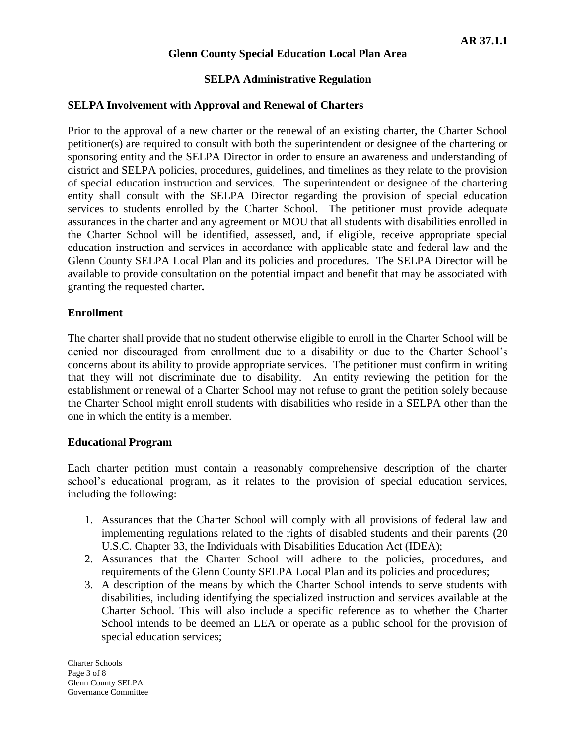### **SELPA Administrative Regulation**

#### **SELPA Involvement with Approval and Renewal of Charters**

Prior to the approval of a new charter or the renewal of an existing charter, the Charter School petitioner(s) are required to consult with both the superintendent or designee of the chartering or sponsoring entity and the SELPA Director in order to ensure an awareness and understanding of district and SELPA policies, procedures, guidelines, and timelines as they relate to the provision of special education instruction and services. The superintendent or designee of the chartering entity shall consult with the SELPA Director regarding the provision of special education services to students enrolled by the Charter School. The petitioner must provide adequate assurances in the charter and any agreement or MOU that all students with disabilities enrolled in the Charter School will be identified, assessed, and, if eligible, receive appropriate special education instruction and services in accordance with applicable state and federal law and the Glenn County SELPA Local Plan and its policies and procedures. The SELPA Director will be available to provide consultation on the potential impact and benefit that may be associated with granting the requested charter*.*

#### **Enrollment**

The charter shall provide that no student otherwise eligible to enroll in the Charter School will be denied nor discouraged from enrollment due to a disability or due to the Charter School's concerns about its ability to provide appropriate services. The petitioner must confirm in writing that they will not discriminate due to disability. An entity reviewing the petition for the establishment or renewal of a Charter School may not refuse to grant the petition solely because the Charter School might enroll students with disabilities who reside in a SELPA other than the one in which the entity is a member.

#### **Educational Program**

Each charter petition must contain a reasonably comprehensive description of the charter school's educational program, as it relates to the provision of special education services, including the following:

- 1. Assurances that the Charter School will comply with all provisions of federal law and implementing regulations related to the rights of disabled students and their parents (20 U.S.C. Chapter 33, the Individuals with Disabilities Education Act (IDEA);
- 2. Assurances that the Charter School will adhere to the policies, procedures, and requirements of the Glenn County SELPA Local Plan and its policies and procedures;
- 3. A description of the means by which the Charter School intends to serve students with disabilities, including identifying the specialized instruction and services available at the Charter School. This will also include a specific reference as to whether the Charter School intends to be deemed an LEA or operate as a public school for the provision of special education services;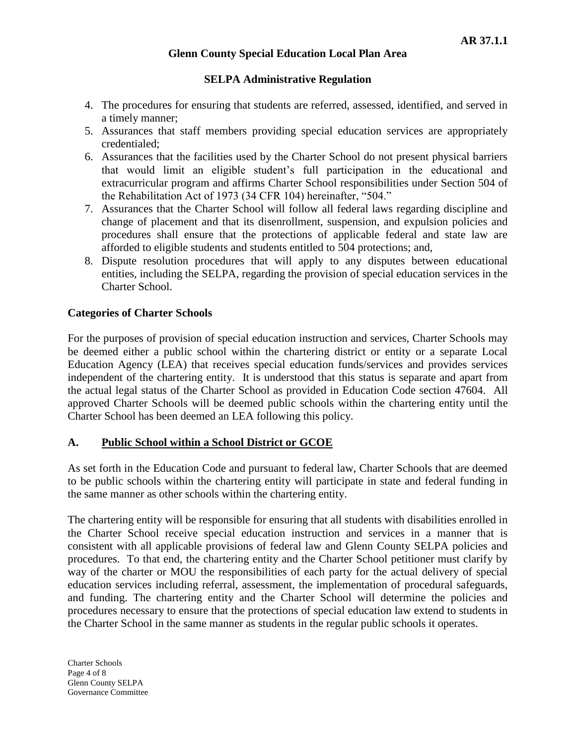## **SELPA Administrative Regulation**

- 4. The procedures for ensuring that students are referred, assessed, identified, and served in a timely manner;
- 5. Assurances that staff members providing special education services are appropriately credentialed;
- 6. Assurances that the facilities used by the Charter School do not present physical barriers that would limit an eligible student's full participation in the educational and extracurricular program and affirms Charter School responsibilities under Section 504 of the Rehabilitation Act of 1973 (34 CFR 104) hereinafter, "504."
- 7. Assurances that the Charter School will follow all federal laws regarding discipline and change of placement and that its disenrollment, suspension, and expulsion policies and procedures shall ensure that the protections of applicable federal and state law are afforded to eligible students and students entitled to 504 protections; and,
- 8. Dispute resolution procedures that will apply to any disputes between educational entities, including the SELPA, regarding the provision of special education services in the Charter School.

## **Categories of Charter Schools**

For the purposes of provision of special education instruction and services, Charter Schools may be deemed either a public school within the chartering district or entity or a separate Local Education Agency (LEA) that receives special education funds/services and provides services independent of the chartering entity. It is understood that this status is separate and apart from the actual legal status of the Charter School as provided in Education Code section 47604. All approved Charter Schools will be deemed public schools within the chartering entity until the Charter School has been deemed an LEA following this policy.

## **A. Public School within a School District or GCOE**

As set forth in the Education Code and pursuant to federal law, Charter Schools that are deemed to be public schools within the chartering entity will participate in state and federal funding in the same manner as other schools within the chartering entity.

The chartering entity will be responsible for ensuring that all students with disabilities enrolled in the Charter School receive special education instruction and services in a manner that is consistent with all applicable provisions of federal law and Glenn County SELPA policies and procedures. To that end, the chartering entity and the Charter School petitioner must clarify by way of the charter or MOU the responsibilities of each party for the actual delivery of special education services including referral, assessment, the implementation of procedural safeguards, and funding. The chartering entity and the Charter School will determine the policies and procedures necessary to ensure that the protections of special education law extend to students in the Charter School in the same manner as students in the regular public schools it operates.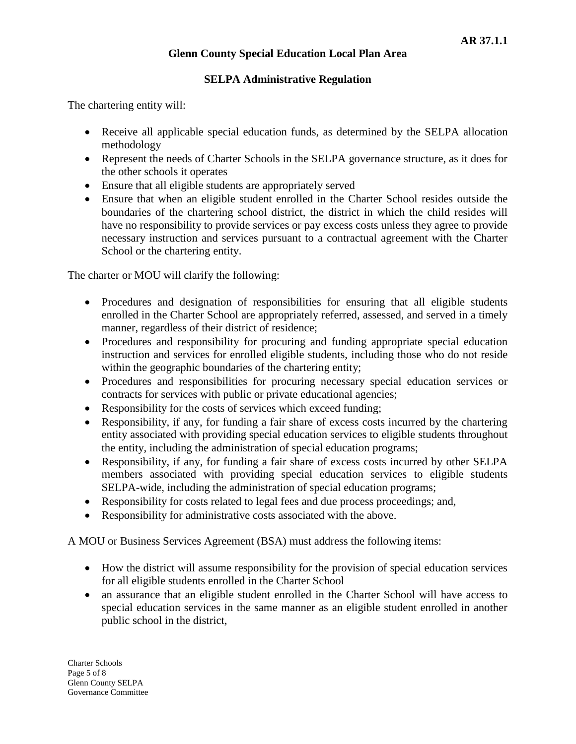## **SELPA Administrative Regulation**

The chartering entity will:

- Receive all applicable special education funds, as determined by the SELPA allocation methodology
- Represent the needs of Charter Schools in the SELPA governance structure, as it does for the other schools it operates
- Ensure that all eligible students are appropriately served
- Ensure that when an eligible student enrolled in the Charter School resides outside the boundaries of the chartering school district, the district in which the child resides will have no responsibility to provide services or pay excess costs unless they agree to provide necessary instruction and services pursuant to a contractual agreement with the Charter School or the chartering entity.

The charter or MOU will clarify the following:

- Procedures and designation of responsibilities for ensuring that all eligible students enrolled in the Charter School are appropriately referred, assessed, and served in a timely manner, regardless of their district of residence;
- Procedures and responsibility for procuring and funding appropriate special education instruction and services for enrolled eligible students, including those who do not reside within the geographic boundaries of the chartering entity;
- Procedures and responsibilities for procuring necessary special education services or contracts for services with public or private educational agencies;
- Responsibility for the costs of services which exceed funding;
- Responsibility, if any, for funding a fair share of excess costs incurred by the chartering entity associated with providing special education services to eligible students throughout the entity, including the administration of special education programs;
- Responsibility, if any, for funding a fair share of excess costs incurred by other SELPA members associated with providing special education services to eligible students SELPA-wide, including the administration of special education programs;
- Responsibility for costs related to legal fees and due process proceedings; and,
- Responsibility for administrative costs associated with the above.

A MOU or Business Services Agreement (BSA) must address the following items:

- How the district will assume responsibility for the provision of special education services for all eligible students enrolled in the Charter School
- an assurance that an eligible student enrolled in the Charter School will have access to special education services in the same manner as an eligible student enrolled in another public school in the district,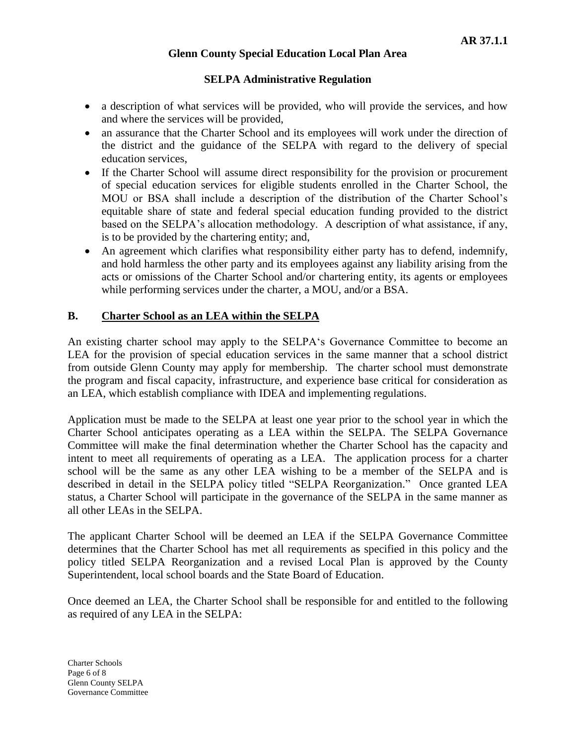## **SELPA Administrative Regulation**

- a description of what services will be provided, who will provide the services, and how and where the services will be provided,
- an assurance that the Charter School and its employees will work under the direction of the district and the guidance of the SELPA with regard to the delivery of special education services,
- If the Charter School will assume direct responsibility for the provision or procurement of special education services for eligible students enrolled in the Charter School, the MOU or BSA shall include a description of the distribution of the Charter School's equitable share of state and federal special education funding provided to the district based on the SELPA's allocation methodology. A description of what assistance, if any, is to be provided by the chartering entity; and,
- An agreement which clarifies what responsibility either party has to defend, indemnify, and hold harmless the other party and its employees against any liability arising from the acts or omissions of the Charter School and/or chartering entity, its agents or employees while performing services under the charter, a MOU, and/or a BSA.

# **B. Charter School as an LEA within the SELPA**

An existing charter school may apply to the SELPA's Governance Committee to become an LEA for the provision of special education services in the same manner that a school district from outside Glenn County may apply for membership. The charter school must demonstrate the program and fiscal capacity, infrastructure, and experience base critical for consideration as an LEA, which establish compliance with IDEA and implementing regulations.

Application must be made to the SELPA at least one year prior to the school year in which the Charter School anticipates operating as a LEA within the SELPA. The SELPA Governance Committee will make the final determination whether the Charter School has the capacity and intent to meet all requirements of operating as a LEA. The application process for a charter school will be the same as any other LEA wishing to be a member of the SELPA and is described in detail in the SELPA policy titled "SELPA Reorganization." Once granted LEA status, a Charter School will participate in the governance of the SELPA in the same manner as all other LEAs in the SELPA.

The applicant Charter School will be deemed an LEA if the SELPA Governance Committee determines that the Charter School has met all requirements as specified in this policy and the policy titled SELPA Reorganization and a revised Local Plan is approved by the County Superintendent, local school boards and the State Board of Education.

Once deemed an LEA, the Charter School shall be responsible for and entitled to the following as required of any LEA in the SELPA: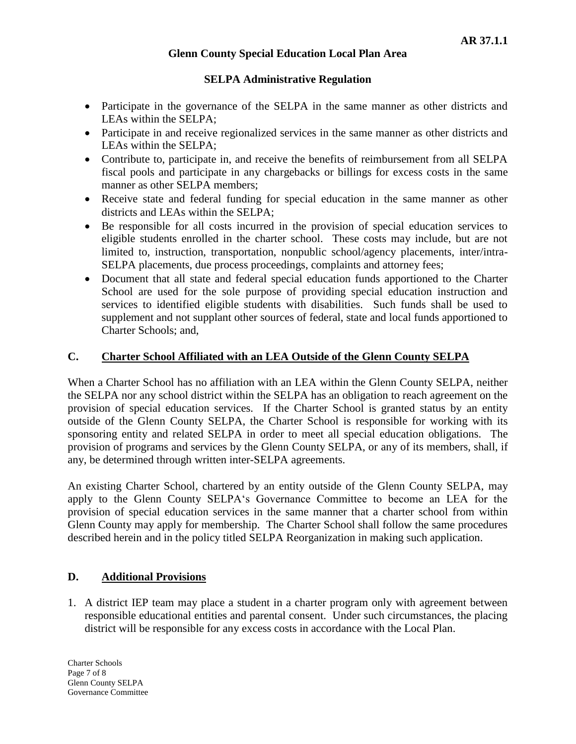## **SELPA Administrative Regulation**

- Participate in the governance of the SELPA in the same manner as other districts and LEAs within the SELPA;
- Participate in and receive regionalized services in the same manner as other districts and LEAs within the SELPA;
- Contribute to, participate in, and receive the benefits of reimbursement from all SELPA fiscal pools and participate in any chargebacks or billings for excess costs in the same manner as other SELPA members;
- Receive state and federal funding for special education in the same manner as other districts and LEAs within the SELPA;
- Be responsible for all costs incurred in the provision of special education services to eligible students enrolled in the charter school. These costs may include, but are not limited to, instruction, transportation, nonpublic school/agency placements, inter/intra-SELPA placements, due process proceedings, complaints and attorney fees;
- Document that all state and federal special education funds apportioned to the Charter School are used for the sole purpose of providing special education instruction and services to identified eligible students with disabilities. Such funds shall be used to supplement and not supplant other sources of federal, state and local funds apportioned to Charter Schools; and,

# **C. Charter School Affiliated with an LEA Outside of the Glenn County SELPA**

When a Charter School has no affiliation with an LEA within the Glenn County SELPA, neither the SELPA nor any school district within the SELPA has an obligation to reach agreement on the provision of special education services. If the Charter School is granted status by an entity outside of the Glenn County SELPA, the Charter School is responsible for working with its sponsoring entity and related SELPA in order to meet all special education obligations. The provision of programs and services by the Glenn County SELPA, or any of its members, shall, if any, be determined through written inter-SELPA agreements.

An existing Charter School, chartered by an entity outside of the Glenn County SELPA, may apply to the Glenn County SELPA's Governance Committee to become an LEA for the provision of special education services in the same manner that a charter school from within Glenn County may apply for membership. The Charter School shall follow the same procedures described herein and in the policy titled SELPA Reorganization in making such application.

# **D. Additional Provisions**

1. A district IEP team may place a student in a charter program only with agreement between responsible educational entities and parental consent. Under such circumstances, the placing district will be responsible for any excess costs in accordance with the Local Plan.

Charter Schools Page 7 of 8 Glenn County SELPA Governance Committee